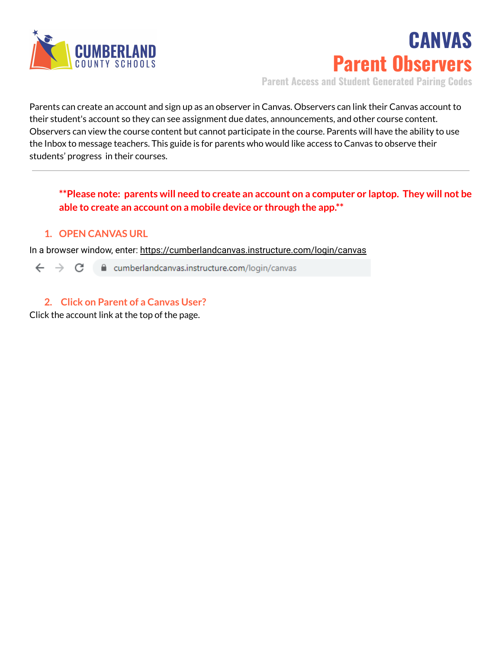

**CANVAS Parent Observers**

**Parent Access and Student Generated Pairing Codes**

Parents can create an account and sign up as an observer in Canvas. Observers can link their Canvas account to their student's account so they can see assignment due dates, announcements, and other course content. Observers can view the course content but cannot participate in the course. Parents will have the ability to use the Inbox to message teachers. This guide is for parents who would like access to Canvas to observe their students' progress in their courses.

### **\*\*Please note: parents will need to create an account on a computer or laptop. They will not be able to create an account on a mobile device or through the app.\*\***

#### **1. OPEN CANVAS URL**

In a browser window, enter: https://cumberlandcanvas.instructure.com/login/canvas

 $\leftarrow$   $\rightarrow$   $\mathbb{C}$   $\blacksquare$  cumberlandcanvas.instructure.com/login/canvas

### **2. Click on Parent of a Canvas User?**

Click the account link at the top of the page.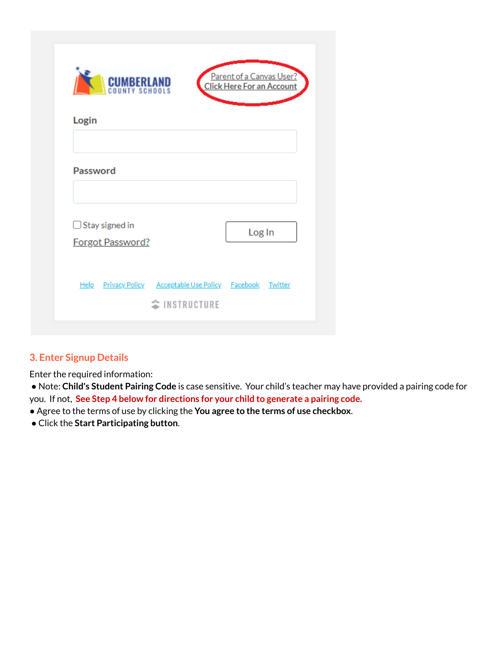| <b>CUMBERLAND</b>                         |                                                                                        | Parent of a Canvas User?<br><b>Click Here For an Account</b> |
|-------------------------------------------|----------------------------------------------------------------------------------------|--------------------------------------------------------------|
| Login                                     |                                                                                        |                                                              |
| <b>Password</b>                           |                                                                                        |                                                              |
| $\Box$ Stay signed in<br>Forgot Password? |                                                                                        | Log In                                                       |
|                                           | Help Privacy Policy Acceptable Use Policy Facebook Twitter<br><sup>◆</sup> INSTRUCTURE |                                                              |

# **3. Enter Signup Details**

Enter the required information:

● Note: **Child's Student Pairing Code** is case sensitive. Your child's teacher may have provided a pairing code for you. If not, **See Step 4 below for directions for your child to generate a pairing code.**

- Agree to the terms of use by clicking the **You agree to the terms of use checkbox**.
- Click the **Start Participating button**.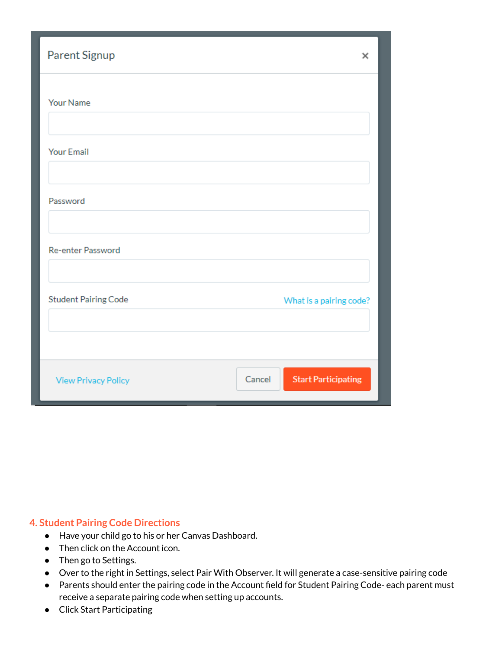| Parent Signup               | ×                                    |
|-----------------------------|--------------------------------------|
| Your Name                   |                                      |
| <b>Your Email</b>           |                                      |
| Password                    |                                      |
| Re-enter Password           |                                      |
| <b>Student Pairing Code</b> | What is a pairing code?              |
|                             |                                      |
| <b>View Privacy Policy</b>  | <b>Start Participating</b><br>Cancel |

#### **4. Student Pairing Code Directions**

- Have your child go to his or her Canvas Dashboard.
- Then click on the Account icon.
- Then go to Settings.
- Over to the right in Settings, select Pair With Observer. It will generate a case-sensitive pairing code
- Parents should enter the pairing code in the Account field for Student Pairing Code- each parent must receive a separate pairing code when setting up accounts.
- Click Start Participating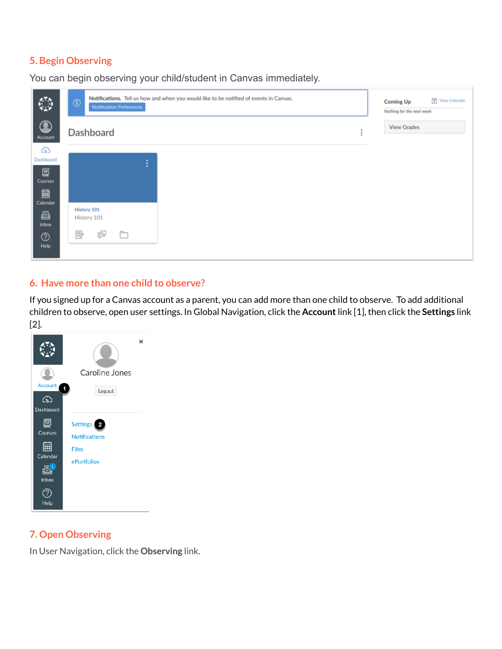## **5. Begin Observing**

| $\mathbb{C}$          | Notifications. Tell us how and when you would like to be notified of events in Canvas.<br>$^\circledR$<br>Notification Preferences | View Calendar<br>Coming Up<br>Nothing for the next week |
|-----------------------|------------------------------------------------------------------------------------------------------------------------------------|---------------------------------------------------------|
| $\bigcirc$<br>Account | Dashboard                                                                                                                          | <b>View Grades</b>                                      |
| ෬                     |                                                                                                                                    |                                                         |
| Dashboard             | ÷                                                                                                                                  |                                                         |
| 冒<br>Courses          |                                                                                                                                    |                                                         |
| 圁<br>Calendar         |                                                                                                                                    |                                                         |
| €                     | History 101<br>History 101                                                                                                         |                                                         |
| Inbox                 |                                                                                                                                    |                                                         |
| $^{\circledR}$        | Ģ<br>₽<br>È                                                                                                                        |                                                         |
| Help                  |                                                                                                                                    |                                                         |

You can begin observing your child/student in Canvas immediately.

#### **6. Have more than one child to observe?**

If you signed up for a Canvas account as a parent, you can add more than one child to observe. To add additional children to observe, open user settings. In Global Navigation, click the **Account**link [1], then click the **Settings** link [2].

|                                         | ×                                                                   |
|-----------------------------------------|---------------------------------------------------------------------|
|                                         | Caroline Jones                                                      |
| Account<br>ඟ                            | 1<br>Logout                                                         |
| Dashboard                               |                                                                     |
| 冒<br>Courses<br>88<br>Calendar<br>Inbox | Settings   2<br><b>Notifications</b><br><b>Files</b><br>ePortfolios |
| Help                                    |                                                                     |

#### **7. Open Observing**

In User Navigation, click the **Observing** link.